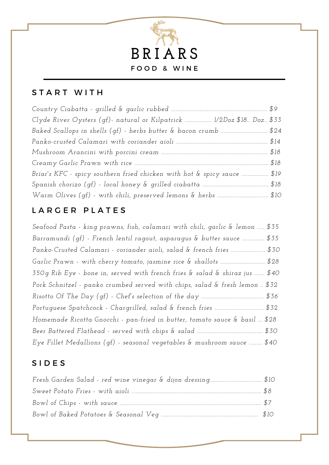

#### START WITH

| Clyde River Oysters (qf)- natural or Kilpatrick  1/2Doz \$18 Doz \$33   |  |
|-------------------------------------------------------------------------|--|
|                                                                         |  |
|                                                                         |  |
|                                                                         |  |
|                                                                         |  |
| Briar's KFC - spicy southern fried chicken with hot & spicy sauce  \$19 |  |
|                                                                         |  |
|                                                                         |  |

### LARGER PLATES

*Seafood Pasta - king prawns, fish, calamari with chili, garlic & lemon ..... \$35 Barramundi (gf) - French lentil ragout, asparagus & butter sauce ............... \$35 Panko-Crusted Calamari - coriander aioli, salad & french fries ....................... \$30 Garlic Prawn - with cherry tomato, jasmine rice & shallots .............................. \$28 350g Rib Eye - bone in, served with french fries & salad & shiraz jus ....... \$40 Pork Schnitzel - panko crumbed served with chips, salad & fresh lemon .. \$32 Risotto Of The Day (gf) - Chef's selection of the day .......................................... \$36 Portuguese Spatchcock - Chargrilled, salad & french fries ................................. \$32 Homemade Ricotta Gnocchi - pan-fried in butter, tomato sauce & basil ... \$28 Beer Battered Flathead - served with chips & salad ............................................ \$30 Eye Fillet Medallions (gf) - seasonal vegetables & mushroom sauce ......... \$40*

### S I D E S